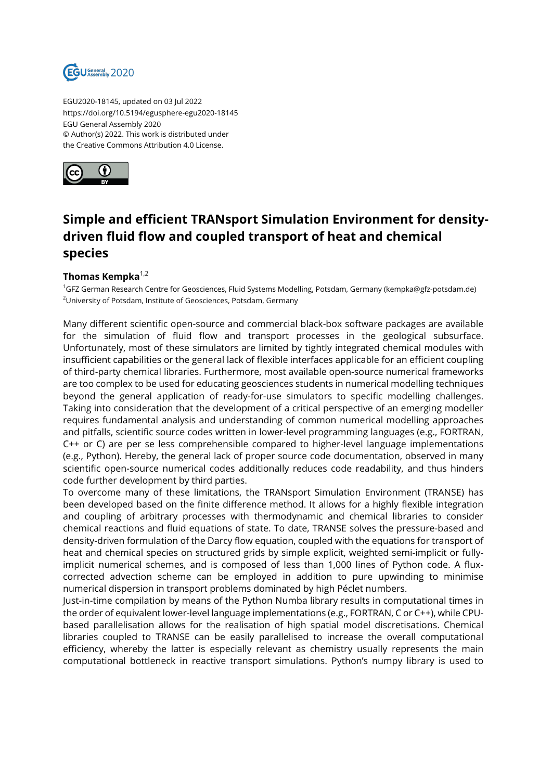

EGU2020-18145, updated on 03 Jul 2022 https://doi.org/10.5194/egusphere-egu2020-18145 EGU General Assembly 2020 © Author(s) 2022. This work is distributed under the Creative Commons Attribution 4.0 License.



## **Simple and efficient TRANsport Simulation Environment for densitydriven fluid flow and coupled transport of heat and chemical species**

## **Thomas Kempka**1,2

<sup>1</sup>GFZ German Research Centre for Geosciences, Fluid Systems Modelling, Potsdam, Germany (kempka@gfz-potsdam.de) <sup>2</sup>University of Potsdam, Institute of Geosciences, Potsdam, Germany

Many different scientific open-source and commercial black-box software packages are available for the simulation of fluid flow and transport processes in the geological subsurface. Unfortunately, most of these simulators are limited by tightly integrated chemical modules with insufficient capabilities or the general lack of flexible interfaces applicable for an efficient coupling of third-party chemical libraries. Furthermore, most available open-source numerical frameworks are too complex to be used for educating geosciences students in numerical modelling techniques beyond the general application of ready-for-use simulators to specific modelling challenges. Taking into consideration that the development of a critical perspective of an emerging modeller requires fundamental analysis and understanding of common numerical modelling approaches and pitfalls, scientific source codes written in lower-level programming languages (e.g., FORTRAN, C++ or C) are per se less comprehensible compared to higher-level language implementations (e.g., Python). Hereby, the general lack of proper source code documentation, observed in many scientific open-source numerical codes additionally reduces code readability, and thus hinders code further development by third parties.

To overcome many of these limitations, the TRANsport Simulation Environment (TRANSE) has been developed based on the finite difference method. It allows for a highly flexible integration and coupling of arbitrary processes with thermodynamic and chemical libraries to consider chemical reactions and fluid equations of state. To date, TRANSE solves the pressure-based and density-driven formulation of the Darcy flow equation, coupled with the equations for transport of heat and chemical species on structured grids by simple explicit, weighted semi-implicit or fullyimplicit numerical schemes, and is composed of less than 1,000 lines of Python code. A fluxcorrected advection scheme can be employed in addition to pure upwinding to minimise numerical dispersion in transport problems dominated by high Péclet numbers.

Just-in-time compilation by means of the Python Numba library results in computational times in the order of equivalent lower-level language implementations (e.g., FORTRAN, C or C++), while CPUbased parallelisation allows for the realisation of high spatial model discretisations. Chemical libraries coupled to TRANSE can be easily parallelised to increase the overall computational efficiency, whereby the latter is especially relevant as chemistry usually represents the main computational bottleneck in reactive transport simulations. Python's numpy library is used to